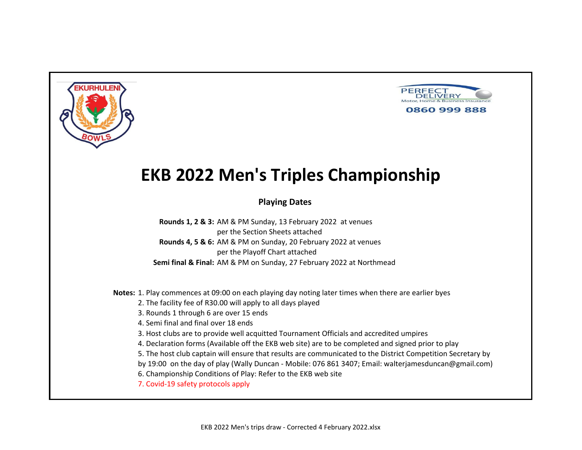



### **Playing Dates**

**Rounds 1, 2 & 3:** AM & PM Sunday, 13 February 2022 at venues per the Section Sheets attached **Rounds 4, 5 & 6:** AM & PM on Sunday, 20 February 2022 at venues per the Playoff Chart attached **Semi final & Final:** AM & PM on Sunday, 27 February 2022 at Northmead

**Notes:** 1. Play commences at 09:00 on each playing day noting later times when there are earlier byes

2. The facility fee of R30.00 will apply to all days played

3. Rounds 1 through 6 are over 15 ends

4. Semi final and final over 18 ends

3. Host clubs are to provide well acquitted Tournament Officials and accredited umpires

4. Declaration forms (Available off the EKB web site) are to be completed and signed prior to play

5. The host club captain will ensure that results are communicated to the District Competition Secretary by

by 19:00 on the day of play (Wally Duncan - Mobile: 076 861 3407; Email: walterjamesduncan@gmail.com)

6. Championship Conditions of Play: Refer to the EKB web site

7. Covid-19 safety protocols apply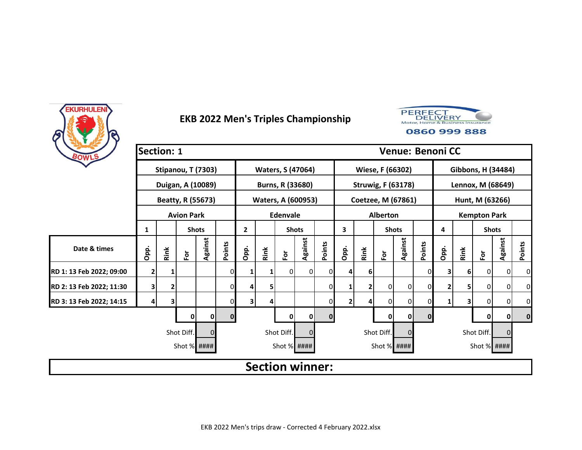



| BOWLS                    | <b>Section: 1</b> |      |                      |              |          |                         |      |                           |                |                |      |              |                  | <b>Venue: Benoni CC</b>   |             |      |      |                     |                |                |
|--------------------------|-------------------|------|----------------------|--------------|----------|-------------------------|------|---------------------------|----------------|----------------|------|--------------|------------------|---------------------------|-------------|------|------|---------------------|----------------|----------------|
|                          |                   |      | Stipanou, T (7303)   |              |          |                         |      | <b>Waters, S (47064)</b>  |                |                |      |              | Wiese, F (66302) |                           |             |      |      | Gibbons, H (34484)  |                |                |
|                          |                   |      | Duigan, A (10089)    |              |          |                         |      | Burns, R (33680)          |                |                |      |              |                  | <b>Struwig, F (63178)</b> |             |      |      | Lennox, M (68649)   |                |                |
|                          |                   |      | Beatty, R (55673)    |              |          |                         |      | <b>Waters, A (600953)</b> |                |                |      |              |                  | Coetzee, M (67861)        |             |      |      | Hunt, M (63266)     |                |                |
|                          |                   |      | <b>Avion Park</b>    |              |          |                         |      | <b>Edenvale</b>           |                |                |      |              | <b>Alberton</b>  |                           |             |      |      | <b>Kempton Park</b> |                |                |
|                          | 1                 |      |                      | <b>Shots</b> |          | $\overline{2}$          |      | <b>Shots</b>              |                |                | 3    |              |                  | <b>Shots</b>              |             | 4    |      | <b>Shots</b>        |                |                |
| Date & times             | Opp.              | Rink | $\tilde{\mathbf{c}}$ | Against      | Points   | Opp.                    | Rink | $\bf \bar{e}$             | Against        | Points         | Opp. | Rink         | $\bf \bar{e}$    | Against                   | Points      | Opp. | Rink | $\bf \bar{e}$       | Against        | Points         |
| RD 1: 13 Feb 2022; 09:00 | 2                 |      |                      |              | 0        |                         | 1    | 0                         | $\overline{0}$ | ΟI             |      | 6            |                  |                           | 0           | 3    | 6    | 0                   | $\overline{0}$ | $\overline{0}$ |
| RD 2: 13 Feb 2022; 11:30 | 3                 | 2    |                      |              | 0        | 4                       | 5    |                           |                | $\overline{0}$ |      | $\mathbf{2}$ | 0                | 0                         | 0           | 2    | 5    | 0                   | $\overline{0}$ | $\overline{0}$ |
| RD 3: 13 Feb 2022; 14:15 | 4                 | 3    |                      |              | 0        | $\overline{\mathbf{3}}$ | 4    |                           |                | $\Omega$       | 2    |              | 0                | 0                         | 0           | 1    | 3    | 0                   | $\overline{0}$ | $\overline{0}$ |
|                          |                   |      | 0                    | 0            | $\bf{0}$ |                         |      | 0                         | 0              | $\mathbf{0}$   |      |              | 0                | 0                         | $\mathbf 0$ |      |      | 0                   | 0              | $\mathbf{0}$   |
|                          |                   |      | Shot Diff.           | 0            |          |                         |      | Shot Diff.                | 0              |                |      |              | Shot Diff.       | 0                         |             |      |      | Shot Diff.          | $\Omega$       |                |
|                          |                   |      | Shot % ####          |              |          |                         |      | Shot % ####               |                |                |      |              | Shot % ####      |                           |             |      |      | Shot % ####         |                |                |
|                          |                   |      |                      |              |          |                         |      | <b>Section winner:</b>    |                |                |      |              |                  |                           |             |      |      |                     |                |                |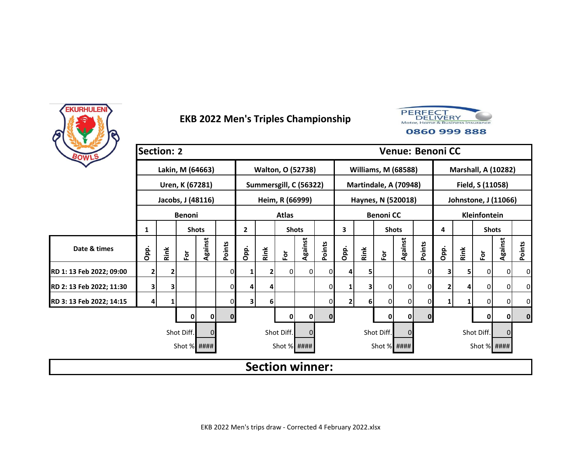



| BOWLS                    | <b>Section: 2</b> |                                                                                          |                      |                   |              |      |              |                        |                |          |                |      |                  | <b>Venue: Benoni CC</b>    |             |      |      |                            |                |             |
|--------------------------|-------------------|------------------------------------------------------------------------------------------|----------------------|-------------------|--------------|------|--------------|------------------------|----------------|----------|----------------|------|------------------|----------------------------|-------------|------|------|----------------------------|----------------|-------------|
|                          |                   |                                                                                          | Lakin, M (64663)     |                   |              |      |              | Walton, O (52738)      |                |          |                |      |                  | <b>Williams, M (68588)</b> |             |      |      | <b>Marshall, A (10282)</b> |                |             |
|                          |                   |                                                                                          | Uren, K (67281)      |                   |              |      |              | Summersgill, C (56322) |                |          |                |      |                  | Martindale, A (70948)      |             |      |      | Field, S (11058)           |                |             |
|                          |                   |                                                                                          |                      | Jacobs, J (48116) |              |      |              | Heim, R (66999)        |                |          |                |      |                  | Haynes, N (520018)         |             |      |      | Johnstone, J (11066)       |                |             |
|                          |                   |                                                                                          | <b>Benoni</b>        |                   |              |      |              | <b>Atlas</b>           |                |          |                |      | <b>Benoni CC</b> |                            |             |      |      | Kleinfontein               |                |             |
|                          | 1                 | $\overline{2}$<br>3<br><b>Shots</b><br><b>Shots</b><br><b>Shots</b><br><b>Shots</b><br>4 |                      |                   |              |      |              |                        |                |          |                |      |                  |                            |             |      |      |                            |                |             |
| Date & times             | Opp.              | Rink                                                                                     | $\mathbf{\tilde{e}}$ | Against           | Points       | Opp. | Rink         | $\bf \bar{e}$          | Against        | Points   | Opp.           | Rink | $\bf \bar{e}$    | Against                    | Points      | Opp. | Rink | $\mathbf{\tilde{e}}$       | Against        | Points      |
| RD 1: 13 Feb 2022; 09:00 | 2                 | 2                                                                                        |                      |                   |              | 1    | $\mathbf{2}$ | 0                      | $\overline{0}$ | $\Omega$ |                | 5.   |                  |                            | 0           | 3    | 5    | 0                          | $\mathbf 0$    | 0           |
| RD 2: 13 Feb 2022; 11:30 | 3                 | 3                                                                                        |                      |                   | 0            | 4    | 4            |                        |                | 01       |                | 3    | 0                | 0                          | 0           | 2    | 4    | $\mathbf{0}$               | $\overline{0}$ | 0           |
| RD 3: 13 Feb 2022; 14:15 | 4                 |                                                                                          |                      |                   |              | 3    | 6            |                        |                | 01       | 2 <sub>1</sub> | 6    | $\overline{0}$   | 0                          | 0           | 1    |      | 0                          | 0              | 0           |
|                          |                   |                                                                                          | 0                    | 0                 | $\mathbf{0}$ |      |              | 0                      | 0              | $\Omega$ |                |      | $\mathbf 0$      | 0                          | $\mathbf 0$ |      |      | 0                          | 0              | $\mathbf 0$ |
|                          |                   |                                                                                          | Shot Diff.           | $\Omega$          |              |      |              | Shot Diff.             | $\Omega$       |          |                |      | Shot Diff.       | 0                          |             |      |      | Shot Diff.                 | $\Omega$       |             |
|                          |                   |                                                                                          | Shot % ####          |                   |              |      |              | Shot % ####            |                |          |                |      | Shot % ####      |                            |             |      |      | Shot % ####                |                |             |
|                          |                   |                                                                                          |                      |                   |              |      |              | <b>Section winner:</b> |                |          |                |      |                  |                            |             |      |      |                            |                |             |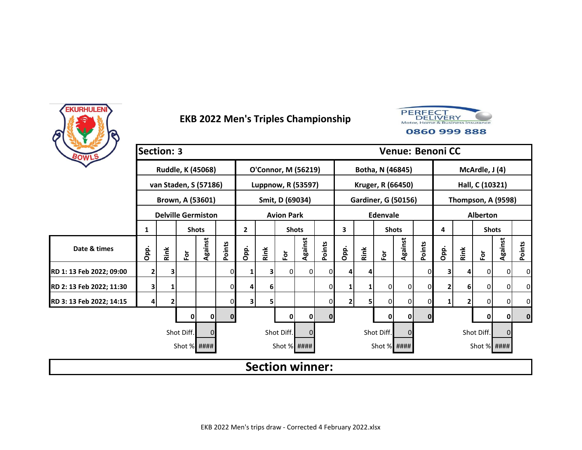



| BOWLS                    | <b>Section: 3</b> |      |                           |              |              |                |      |                            |                |          |                |      |                  | <b>Venue: Benoni CC</b>    |             |      |              |                      |                |             |
|--------------------------|-------------------|------|---------------------------|--------------|--------------|----------------|------|----------------------------|----------------|----------|----------------|------|------------------|----------------------------|-------------|------|--------------|----------------------|----------------|-------------|
|                          |                   |      | Ruddle, K (45068)         |              |              |                |      | <b>O'Connor, M (56219)</b> |                |          |                |      | Botha, N (46845) |                            |             |      |              | McArdle, J (4)       |                |             |
|                          |                   |      | van Staden, S (57186)     |              |              |                |      | Luppnow, R (53597)         |                |          |                |      |                  | Kruger, R (66450)          |             |      |              | Hall, C (10321)      |                |             |
|                          |                   |      | Brown, A (53601)          |              |              |                |      | Smit, D (69034)            |                |          |                |      |                  | <b>Gardiner, G (50156)</b> |             |      |              | Thompson, A (9598)   |                |             |
|                          |                   |      | <b>Delville Germiston</b> |              |              |                |      | <b>Avion Park</b>          |                |          |                |      | <b>Edenvale</b>  |                            |             |      |              | <b>Alberton</b>      |                |             |
|                          | 1                 |      |                           | <b>Shots</b> |              | $\overline{2}$ |      | <b>Shots</b>               |                |          | 3              |      | <b>Shots</b>     |                            |             | 4    |              | <b>Shots</b>         |                |             |
| Date & times             | Opp.              | Rink | $\mathbf{\tilde{e}}$      | Against      | Points       | Opp.           | Rink | $\bf \bar{e}$              | Against        | Points   | Opp.           | Rink | $\bf \bar{e}$    | Against                    | Points      | Opp. | Rink         | $\mathbf{\tilde{e}}$ | Against        | Points      |
| RD 1: 13 Feb 2022; 09:00 | 2                 | 3    |                           |              |              | 1              | 31   | 0                          | $\overline{0}$ | $\Omega$ |                |      |                  |                            | 0           | 3    | 4            | 0                    | $\mathbf 0$    | 0           |
| RD 2: 13 Feb 2022; 11:30 | 3                 |      |                           |              | 0            | 4              | 6    |                            |                | 01       |                |      | 0                | 0                          | 0           | 2    | 6            | $\overline{0}$       | $\overline{0}$ | 0           |
| RD 3: 13 Feb 2022; 14:15 | 4                 | 2    |                           |              |              | 3              | 5    |                            |                | 01       | 2 <sub>1</sub> | 5    | $\Omega$         | 0                          | 0           | 1    | $\mathbf{2}$ | 0                    | 0              | 0           |
|                          |                   |      | 0                         | 0            | $\mathbf{0}$ |                |      | 0                          | 0              | $\Omega$ |                |      | $\mathbf 0$      | $\mathbf 0$                | $\mathbf 0$ |      |              | 0                    | 0              | $\mathbf 0$ |
|                          |                   |      | Shot Diff.                | $\Omega$     |              |                |      | Shot Diff.                 | $\Omega$       |          |                |      | Shot Diff.       | 0                          |             |      |              | Shot Diff.           | $\Omega$       |             |
|                          |                   |      | Shot % ####               |              |              |                |      | Shot % ####                |                |          |                |      | Shot % ####      |                            |             |      |              | Shot % ####          |                |             |
|                          |                   |      |                           |              |              |                |      | <b>Section winner:</b>     |                |          |                |      |                  |                            |             |      |              |                      |                |             |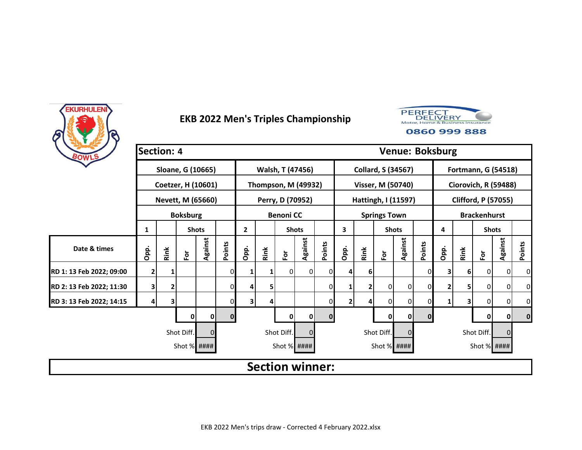



| BOWLS                    | <b>Section: 4</b> |      |                    |          |          |              |      |                            |         |          |              |      |                           |         | <b>Venue: Boksburg</b> |      |      |                            |          |          |
|--------------------------|-------------------|------|--------------------|----------|----------|--------------|------|----------------------------|---------|----------|--------------|------|---------------------------|---------|------------------------|------|------|----------------------------|----------|----------|
|                          |                   |      | Sloane, G (10665)  |          |          |              |      | Walsh, T (47456)           |         |          |              |      | <b>Collard, S (34567)</b> |         |                        |      |      | <b>Fortmann, G (54518)</b> |          |          |
|                          |                   |      | Coetzer, H (10601) |          |          |              |      | <b>Thompson, M (49932)</b> |         |          |              |      | Visser, M (50740)         |         |                        |      |      | Ciorovich, R (59488)       |          |          |
|                          |                   |      | Nevett, M (65660)  |          |          |              |      | Perry, D (70952)           |         |          |              |      | Hattingh, I (11597)       |         |                        |      |      | <b>Clifford, P (57055)</b> |          |          |
|                          |                   |      | <b>Boksburg</b>    |          |          |              |      | <b>Benoni CC</b>           |         |          |              |      | <b>Springs Town</b>       |         |                        |      |      | <b>Brackenhurst</b>        |          |          |
|                          | 1                 |      | <b>Shots</b>       |          |          | $\mathbf{2}$ |      | <b>Shots</b>               |         |          | 3            |      | <b>Shots</b>              |         |                        | 4    |      | <b>Shots</b>               |          |          |
| Date & times             | Opp.              | Rink | $\bf \bar{e}$      | Against  | Points   | Opp.         | Rink | $\bf \bar{e}$              | Against | Points   | Opp.         | Rink | $\overline{\mathsf{P}}$   | Against | Points                 | Opp. | Rink | Ē٥                         | Against  | Points   |
| RD 1: 13 Feb 2022; 09:00 | 2                 |      |                    |          |          |              | 1    | 01                         | 0       | 0        |              | 6    |                           |         | 0                      | 3    | 6    | 0                          | 0        | $\Omega$ |
| RD 2: 13 Feb 2022; 11:30 | 3                 | 2    |                    |          | 0        | Δ            | 5    |                            |         | 0        |              | 2    | 0                         | 0       | 0                      | 2    | 5    | 0                          | 0        | 0        |
| RD 3: 13 Feb 2022; 14:15 | 4                 | 3    |                    |          |          | 3            | 4    |                            |         | 0        | $\mathbf{2}$ |      | 0                         | Οl      | 0                      | 1    | 3    | 0                          | 0        | 0        |
|                          |                   |      | 0                  | 0        | $\bf{0}$ |              |      | 0                          | 0       | $\bf{0}$ |              |      | 0                         | 01      | $\mathbf 0$            |      |      | 0                          | 0        | $\bf{0}$ |
|                          |                   |      | Shot Diff.         | $\Omega$ |          |              |      | Shot Diff.                 | 0       |          |              |      | Shot Diff.                |         |                        |      |      | Shot Diff.                 | $\Omega$ |          |
|                          |                   |      | Shot % ####        |          |          |              |      | Shot % ####                |         |          |              |      | Shot % ####               |         |                        |      |      | Shot % ####                |          |          |
|                          |                   |      |                    |          |          |              |      | <b>Section winner:</b>     |         |          |              |      |                           |         |                        |      |      |                            |          |          |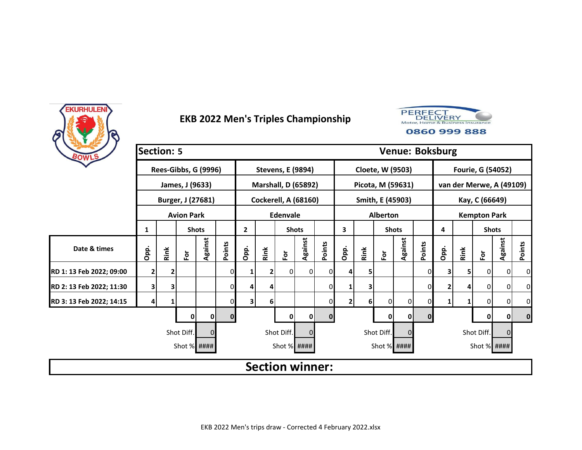



| BOWLS                    | <b>Section: 5</b> |      |                      |          |        |              |      |                             |         |          |              |      |               |                   | <b>Venue: Boksburg</b> |              |      |                          |          |          |
|--------------------------|-------------------|------|----------------------|----------|--------|--------------|------|-----------------------------|---------|----------|--------------|------|---------------|-------------------|------------------------|--------------|------|--------------------------|----------|----------|
|                          |                   |      | Rees-Gibbs, G (9996) |          |        |              |      | <b>Stevens, E (9894)</b>    |         |          |              |      |               | Cloete, W (9503)  |                        |              |      | Fourie, G (54052)        |          |          |
|                          |                   |      | James, J (9633)      |          |        |              |      | <b>Marshall, D (65892)</b>  |         |          |              |      |               | Picota, M (59631) |                        |              |      | van der Merwe, A (49109) |          |          |
|                          |                   |      | Burger, J (27681)    |          |        |              |      | <b>Cockerell, A (68160)</b> |         |          |              |      |               | Smith, E (45903)  |                        |              |      | Kay, C (66649)           |          |          |
|                          |                   |      | <b>Avion Park</b>    |          |        |              |      | Edenvale                    |         |          |              |      | Alberton      |                   |                        |              |      | <b>Kempton Park</b>      |          |          |
|                          | 1                 |      | <b>Shots</b>         |          |        | $\mathbf{2}$ |      | <b>Shots</b>                |         |          | 3            |      |               | <b>Shots</b>      |                        | 4            |      | <b>Shots</b>             |          |          |
| Date & times             | Opp.              | Rink | $\bf \bar{e}$        | Against  | Points | Opp.         | Rink | $\bf \bar{e}$               | Against | Points   | Opp.         | Rink | $\bf \bar{e}$ | Against           | Points                 | Opp.         | Rink | Ē٥                       | Against  | Points   |
| RD 1: 13 Feb 2022; 09:00 | 2                 |      |                      |          |        |              | 2    | 01                          | 0I      | 0        |              | 5.   |               |                   | 0                      | 3            | 5    | 0                        | 0        | $\Omega$ |
| RD 2: 13 Feb 2022; 11:30 | 3                 | 3    |                      |          | 0      | Δ            | 4    |                             |         | 0        |              | 3    |               |                   | 0                      | 2            | 4    | 0                        | 0        | 0        |
| RD 3: 13 Feb 2022; 14:15 | 4                 |      |                      |          |        | 3            | 6    |                             |         | 0        | $\mathbf{2}$ | 6    | 0             | 0                 | 0                      | $\mathbf{1}$ | 1    | 0                        | 0        | 0        |
|                          |                   |      | 0                    | 0        | 0      |              |      | 0                           | 0       | $\bf{0}$ |              |      | 0             | 01                | $\mathbf 0$            |              |      | 0                        | 0        | $\bf{0}$ |
|                          |                   |      | Shot Diff.           | $\Omega$ |        |              |      | Shot Diff.                  | 0       |          |              |      | Shot Diff.    |                   |                        |              |      | Shot Diff.               | $\Omega$ |          |
|                          |                   |      | Shot % ####          |          |        |              |      | Shot % ####                 |         |          |              |      |               | Shot % ####       |                        |              |      | Shot % ####              |          |          |
|                          |                   |      |                      |          |        |              |      | <b>Section winner:</b>      |         |          |              |      |               |                   |                        |              |      |                          |          |          |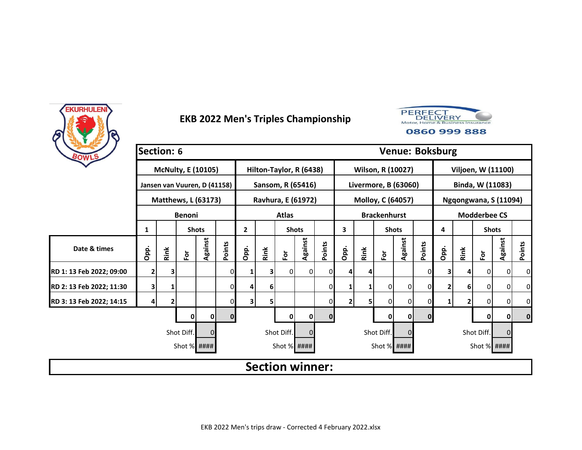



| BOWLS                    | Section: 6 |      |                              |              |              |              |      |                         |                |              |              |      |                     | <b>Venue: Boksburg</b> |             |      |              |                       |             |             |
|--------------------------|------------|------|------------------------------|--------------|--------------|--------------|------|-------------------------|----------------|--------------|--------------|------|---------------------|------------------------|-------------|------|--------------|-----------------------|-------------|-------------|
|                          |            |      | <b>McNulty, E (10105)</b>    |              |              |              |      | Hilton-Taylor, R (6438) |                |              |              |      |                     | Wilson, R (10027)      |             |      |              | Viljoen, W (11100)    |             |             |
|                          |            |      | Jansen van Vuuren, D (41158) |              |              |              |      | Sansom, R (65416)       |                |              |              |      |                     | Livermore, B (63060)   |             |      |              | Binda, W (11083)      |             |             |
|                          |            |      | <b>Matthews, L (63173)</b>   |              |              |              |      | Ravhura, E (61972)      |                |              |              |      |                     | Molloy, C (64057)      |             |      |              | Ngqongwana, S (11094) |             |             |
|                          |            |      | <b>Benoni</b>                |              |              |              |      | <b>Atlas</b>            |                |              |              |      | <b>Brackenhurst</b> |                        |             |      |              | <b>Modderbee CS</b>   |             |             |
|                          | 1          |      |                              | <b>Shots</b> |              | $\mathbf{2}$ |      | <b>Shots</b>            |                |              | 3            |      |                     | <b>Shots</b>           |             | 4    |              | <b>Shots</b>          |             |             |
| Date & times             | Opp.       | Rink | $\bf \tilde{e}$              | Against      | Points       | Opp.         | Rink | For                     | Against        | Points       | Opp.         | Rink | $\bf \tilde{e}$     | Against                | Points      | Opp. | Rink         | $\mathbf{\tilde{e}}$  | Against     | Points      |
| RD 1: 13 Feb 2022; 09:00 | 2          | з    |                              |              |              | 1            | 31   | 0                       | $\overline{0}$ | ΟI           |              |      |                     |                        | 0           | 3    | 4            | $\overline{0}$        | $\mathbf 0$ | 0           |
| RD 2: 13 Feb 2022; 11:30 | 3          |      |                              |              | 0            | 4            | 6    |                         |                | $\mathbf{0}$ |              |      | $\overline{0}$      | 0                      | 0           | 2    | 6            | $\overline{0}$        | $\mathbf 0$ | 0           |
| RD 3: 13 Feb 2022; 14:15 | 4          |      |                              |              |              | 3            | 5    |                         |                | 01           | $\mathbf{2}$ |      | 0                   | 0                      | 0           | 1    | $\mathbf{2}$ | 0                     | 0           | 0           |
|                          |            |      | 0                            | 0            | $\mathbf{0}$ |              |      | 0                       | 0              | $\mathbf{0}$ |              |      | 0                   | $\mathbf 0$            | $\mathbf 0$ |      |              | 0                     | 0           | $\mathbf 0$ |
|                          |            |      | Shot Diff.                   | $\Omega$     |              |              |      | Shot Diff.              | $\Omega$       |              |              |      | Shot Diff.          | 0                      |             |      |              | Shot Diff.            | $\Omega$    |             |
|                          |            |      | Shot % ####                  |              |              |              |      | Shot % ####             |                |              |              |      | Shot % ####         |                        |             |      |              | Shot % ####           |             |             |
|                          |            |      |                              |              |              |              |      | <b>Section winner:</b>  |                |              |              |      |                     |                        |             |      |              |                       |             |             |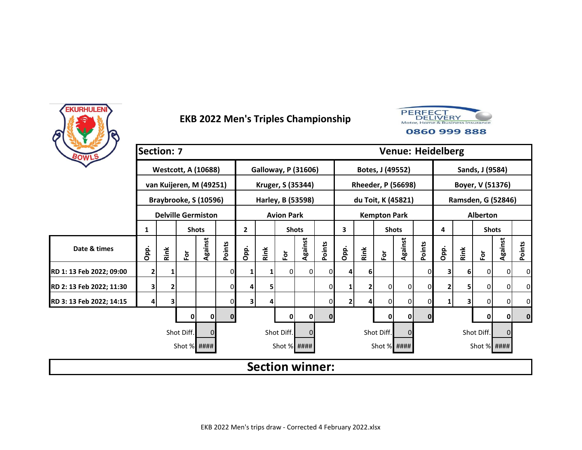



| BOWLS                    | <b>Section: 7</b> |      |                            |              |              |                |      |                            |                |              |              |      |                     | <b>Venue: Heidelberg</b>  |             |      |      |                    |                |             |
|--------------------------|-------------------|------|----------------------------|--------------|--------------|----------------|------|----------------------------|----------------|--------------|--------------|------|---------------------|---------------------------|-------------|------|------|--------------------|----------------|-------------|
|                          |                   |      | <b>Westcott, A (10688)</b> |              |              |                |      | <b>Galloway, P (31606)</b> |                |              |              |      | Botes, J (49552)    |                           |             |      |      | Sands, J (9584)    |                |             |
|                          |                   |      | van Kuijeren, M (49251)    |              |              |                |      | Kruger, S (35344)          |                |              |              |      |                     | <b>Rheeder, P (56698)</b> |             |      |      | Boyer, V (51376)   |                |             |
|                          |                   |      | Braybrooke, S (10596)      |              |              |                |      | Harley, B (53598)          |                |              |              |      |                     | du Toit, K (45821)        |             |      |      | Ramsden, G (52846) |                |             |
|                          |                   |      | <b>Delville Germiston</b>  |              |              |                |      | <b>Avion Park</b>          |                |              |              |      | <b>Kempton Park</b> |                           |             |      |      | <b>Alberton</b>    |                |             |
|                          | 1                 |      |                            | <b>Shots</b> |              | $\overline{2}$ |      | <b>Shots</b>               |                |              | 3            |      | <b>Shots</b>        |                           |             | 4    |      | <b>Shots</b>       |                |             |
| Date & times             | Opp.              | Rink | $\tilde{\mathbf{c}}$       | Against      | Points       | Opp.           | Rink | For                        | Against        | Points       | Opp.         | Rink | $F$ or              | Against                   | Points      | Opp. | Rink | $\bf \bar{e}$      | Against        | Points      |
| RD 1: 13 Feb 2022; 09:00 | 2                 |      |                            |              |              | 1              | 1    | 0                          | $\overline{0}$ | ΟI           |              | 6    |                     |                           | 0           | 3    | 61   | $\overline{0}$     | $\overline{0}$ | 0           |
| RD 2: 13 Feb 2022; 11:30 | 3                 | 2    |                            |              | 0            | 4              | 5    |                            |                | $\mathbf{0}$ |              | 2    | 0                   | 0                         | 0           | 2    | 5    | 0                  | $\overline{0}$ | 0           |
| RD 3: 13 Feb 2022; 14:15 | 4                 | 3    |                            |              |              | 3              | 4    |                            |                | $\mathbf{0}$ | $\mathbf{2}$ |      | 0                   | 0                         | 0           | 1    | 3    | $\overline{0}$     | $\overline{0}$ | 0           |
|                          |                   |      | 0                          | 0            | $\mathbf{0}$ |                |      | 0                          | 0              | $\mathbf{0}$ |              |      | $\mathbf 0$         | $\mathbf 0$               | $\mathbf 0$ |      |      | 0                  | 0              | $\mathbf 0$ |
|                          |                   |      | Shot Diff.                 | $\Omega$     |              |                |      | Shot Diff.                 | $\Omega$       |              |              |      | Shot Diff.          | 0                         |             |      |      | Shot Diff.         | $\Omega$       |             |
|                          |                   |      | Shot % ####                |              |              |                |      | Shot % ####                |                |              |              |      | Shot % ####         |                           |             |      |      | Shot % ####        |                |             |
|                          |                   |      |                            |              |              |                |      | <b>Section winner:</b>     |                |              |              |      |                     |                           |             |      |      |                    |                |             |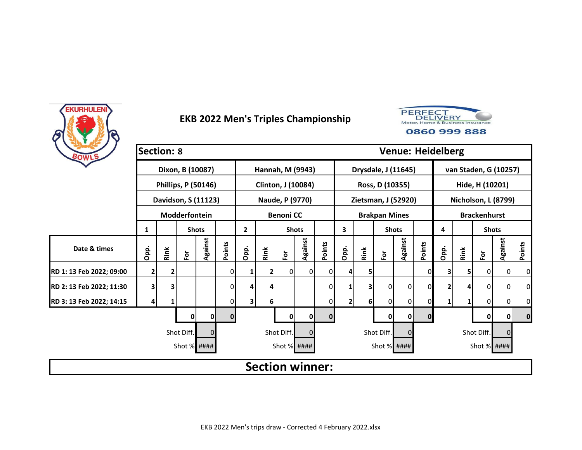



| BOWLS                    | <b>Section: 8</b> |      |                            |              |              |                |              |                        |                |              |              |      |                      | <b>Venue: Heidelberg</b> |             |      |      |                       |                |             |
|--------------------------|-------------------|------|----------------------------|--------------|--------------|----------------|--------------|------------------------|----------------|--------------|--------------|------|----------------------|--------------------------|-------------|------|------|-----------------------|----------------|-------------|
|                          |                   |      | Dixon, B (10087)           |              |              |                |              | Hannah, M (9943)       |                |              |              |      |                      | Drysdale, J (11645)      |             |      |      | van Staden, G (10257) |                |             |
|                          |                   |      | <b>Phillips, P (50146)</b> |              |              |                |              | Clinton, J (10084)     |                |              |              |      | Ross, D (10355)      |                          |             |      |      | Hide, H (10201)       |                |             |
|                          |                   |      | Davidson, S (11123)        |              |              |                |              | Naude, P (9770)        |                |              |              |      |                      | Zietsman, J (52920)      |             |      |      | Nicholson, L (8799)   |                |             |
|                          |                   |      | Modderfontein              |              |              |                |              | <b>Benoni CC</b>       |                |              |              |      | <b>Brakpan Mines</b> |                          |             |      |      | <b>Brackenhurst</b>   |                |             |
|                          | 1                 |      |                            | <b>Shots</b> |              | $\overline{2}$ |              | <b>Shots</b>           |                |              | 3            |      | <b>Shots</b>         |                          |             | 4    |      | <b>Shots</b>          |                |             |
| Date & times             | Opp.              | Rink | $\bf \bar{e}$              | Against      | Points       | Opp.           | Rink         | For                    | Against        | Points       | Opp.         | Rink | $F$ or               | Against                  | Points      | Opp. | Rink | $\mathbf{\tilde{e}}$  | Against        | Points      |
| RD 1: 13 Feb 2022; 09:00 | 2                 | 2    |                            |              |              | 1              | $\mathbf{2}$ | 0                      | $\overline{0}$ | ΟI           |              | 5.   |                      |                          | 0           | 3    | 5    | $\overline{0}$        | $\overline{0}$ | $\mathbf 0$ |
| RD 2: 13 Feb 2022; 11:30 | 3                 | 3    |                            |              | 0            | 4              | 4            |                        |                | $\mathbf{0}$ |              | 3    | 0                    | 0                        | 0           | 2    | 4    | $\overline{0}$        | $\overline{0}$ | 0           |
| RD 3: 13 Feb 2022; 14:15 | 4                 |      |                            |              |              | 3              | 6            |                        |                | $\mathbf{0}$ | $\mathbf{2}$ | 6    | 01                   | 0                        | 0           | 1    |      | $\overline{0}$        | $\overline{0}$ | 0           |
|                          |                   |      | 0                          | 0            | $\mathbf{0}$ |                |              | 0                      | 0              | $\mathbf{0}$ |              |      | 0                    | $\mathbf 0$              | $\mathbf 0$ |      |      | 0                     | 0              | $\mathbf 0$ |
|                          |                   |      | Shot Diff.                 | $\Omega$     |              |                |              | Shot Diff.             | $\Omega$       |              |              |      | Shot Diff.           | 0                        |             |      |      | Shot Diff.            | $\Omega$       |             |
|                          |                   |      | Shot % ####                |              |              |                |              | Shot % ####            |                |              |              |      | Shot % ####          |                          |             |      |      | Shot % ####           |                |             |
|                          |                   |      |                            |              |              |                |              | <b>Section winner:</b> |                |              |              |      |                      |                          |             |      |      |                       |                |             |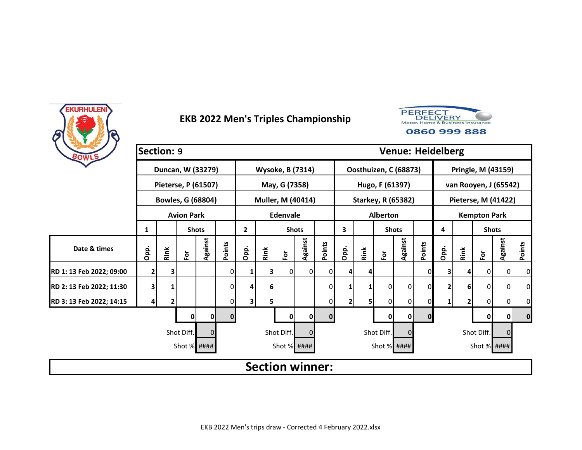



| BOWLS                    | Section: 9   |                         |                     |              |        |              |                |                         |                |          |      |      |                 |                           |              | <b>Venue: Heidelberg</b> |      |                            |                |               |
|--------------------------|--------------|-------------------------|---------------------|--------------|--------|--------------|----------------|-------------------------|----------------|----------|------|------|-----------------|---------------------------|--------------|--------------------------|------|----------------------------|----------------|---------------|
|                          |              |                         | Duncan, W (33279)   |              |        |              |                | <b>Wysoke, B (7314)</b> |                |          |      |      |                 | Oosthuizen, C (68873)     |              |                          |      | Pringle, M (43159)         |                |               |
|                          |              |                         | Pieterse, P (61507) |              |        |              |                | May, G (7358)           |                |          |      |      | Hugo, F (61397) |                           |              |                          |      | van Rooyen, J (65542)      |                |               |
|                          |              |                         | Bowles, G (68804)   |              |        |              |                | Muller, M (40414)       |                |          |      |      |                 | <b>Starkey, R (65382)</b> |              |                          |      | <b>Pieterse, M (41422)</b> |                |               |
|                          |              |                         | <b>Avion Park</b>   |              |        |              |                | <b>Edenvale</b>         |                |          |      |      | <b>Alberton</b> |                           |              |                          |      | <b>Kempton Park</b>        |                |               |
|                          | 1            |                         |                     | <b>Shots</b> |        | $\mathbf{2}$ |                | <b>Shots</b>            |                |          | 3    |      |                 | <b>Shots</b>              |              | 4                        |      | <b>Shots</b>               |                |               |
| Date & times             | Opp.         | Rink                    | $\bf \bar{e}$       | Against      | Points | Opp.         | Rink           | $\bf \bar{e}$           | Against        | Points   | Opp. | Rink | $\bf \bar{e}$   | Against                   | Points       | Opp.                     | Rink | $\bf \bar{e}$              | Against        | <b>Points</b> |
| RD 1: 13 Feb 2022; 09:00 | $\mathbf{2}$ | 3                       |                     |              |        | 1            | 3              | οI                      | $\overline{0}$ |          |      | 4    |                 |                           | 01           | 3                        |      | 0                          | $\overline{0}$ | 0             |
| RD 2: 13 Feb 2022; 11:30 | 3            |                         |                     |              | 0      | 4            | 6 <sup>1</sup> |                         |                | $\Omega$ |      |      | 0               | 0                         | 0            | 2                        | 6    | $\overline{0}$             | 0              | 0             |
| RD 3: 13 Feb 2022; 14:15 | 4            | $\overline{\mathbf{2}}$ |                     |              |        | 3            | $\mathsf{5}$   |                         |                |          |      | 5    | 0               | 0                         | 0            |                          | 2    | $\overline{0}$             | 0              | 0             |
|                          |              |                         | 0                   | 0            | 0      |              |                | 0                       | 0              | $\Omega$ |      |      | 0               | $\mathbf{0}$              | $\mathbf{0}$ |                          |      | 0                          | 0              | $\bf{0}$      |
|                          |              |                         | Shot Diff.          | $\Omega$     |        |              |                | Shot Diff.              | $\Omega$       |          |      |      | Shot Diff.      | 0                         |              |                          |      | Shot Diff.                 | $\Omega$       |               |
|                          |              |                         | Shot % ####         |              |        |              |                | Shot % ####             |                |          |      |      | Shot % ####     |                           |              |                          |      | Shot % ####                |                |               |
|                          |              |                         |                     |              |        |              |                | <b>Section winner:</b>  |                |          |      |      |                 |                           |              |                          |      |                            |                |               |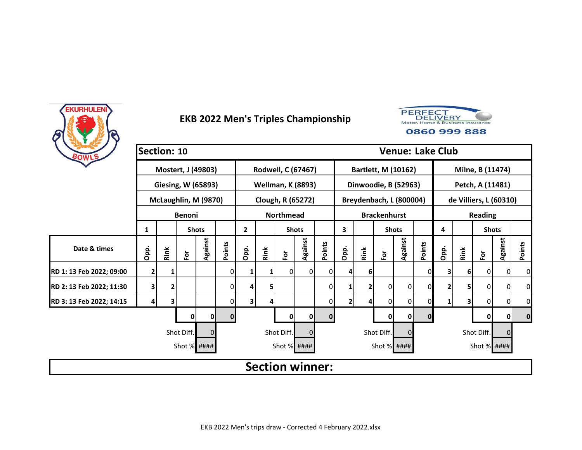



| BOWLS                    | Section: 10 |      |                      |              |              |              |      |                          |                |              |              |      |                     | <b>Venue: Lake Club</b> |             |      |      |                        |                |             |
|--------------------------|-------------|------|----------------------|--------------|--------------|--------------|------|--------------------------|----------------|--------------|--------------|------|---------------------|-------------------------|-------------|------|------|------------------------|----------------|-------------|
|                          |             |      | Mostert, J (49803)   |              |              |              |      | Rodwell, C (67467)       |                |              |              |      |                     | Bartlett, M (10162)     |             |      |      | Milne, B (11474)       |                |             |
|                          |             |      | Giesing, W (65893)   |              |              |              |      | <b>Wellman, K (8893)</b> |                |              |              |      |                     | Dinwoodie, B (52963)    |             |      |      | Petch, A (11481)       |                |             |
|                          |             |      | McLaughlin, M (9870) |              |              |              |      | Clough, R (65272)        |                |              |              |      |                     | Breydenbach, L (800004) |             |      |      | de Villiers, L (60310) |                |             |
|                          |             |      | <b>Benoni</b>        |              |              |              |      | <b>Northmead</b>         |                |              |              |      | <b>Brackenhurst</b> |                         |             |      |      | <b>Reading</b>         |                |             |
|                          | 1           |      |                      | <b>Shots</b> |              | $\mathbf{2}$ |      | <b>Shots</b>             |                |              | 3            |      | <b>Shots</b>        |                         |             | 4    |      | <b>Shots</b>           |                |             |
| Date & times             | Opp.        | Rink | $\tilde{\mathbf{c}}$ | Against      | Points       | Opp.         | Rink | For                      | Against        | Points       | Opp.         | Rink | $\bf \bar{e}$       | Against                 | Points      | Opp. | Rink | $\bf \bar{e}$          | Against        | Points      |
| RD 1: 13 Feb 2022; 09:00 | 2           |      |                      |              |              | 1            | 1    | 0                        | $\overline{0}$ | ΟI           |              | 6    |                     |                         | 0           | 3    | 6    | $\mathbf{0}$           | $\overline{0}$ | 0           |
| RD 2: 13 Feb 2022; 11:30 | 3           | 2    |                      |              | 0            | 4            | 5    |                          |                | $\mathbf{0}$ |              | 2    | 0                   | 0                       | 0           | 2    | 5    | 0                      | $\overline{0}$ | 0           |
| RD 3: 13 Feb 2022; 14:15 | 4           | 3    |                      |              |              | 3            | 4    |                          |                | $\mathbf{0}$ | $\mathbf{2}$ |      | 0                   | 0                       | 0           | 1    | 3    | $\overline{0}$         | $\overline{0}$ | 0           |
|                          |             |      | 0                    | 0            | $\mathbf{0}$ |              |      | 0                        | 0              | $\mathbf{0}$ |              |      | $\mathbf 0$         | $\mathbf 0$             | $\mathbf 0$ |      |      | 0                      | 0              | $\mathbf 0$ |
|                          |             |      | Shot Diff.           | $\Omega$     |              |              |      | Shot Diff.               | $\Omega$       |              |              |      | Shot Diff.          | 0                       |             |      |      | Shot Diff.             | $\Omega$       |             |
|                          |             |      | Shot % ####          |              |              |              |      | Shot % ####              |                |              |              |      | Shot % ####         |                         |             |      |      | Shot % ####            |                |             |
|                          |             |      |                      |              |              |              |      | <b>Section winner:</b>   |                |              |              |      |                     |                         |             |      |      |                        |                |             |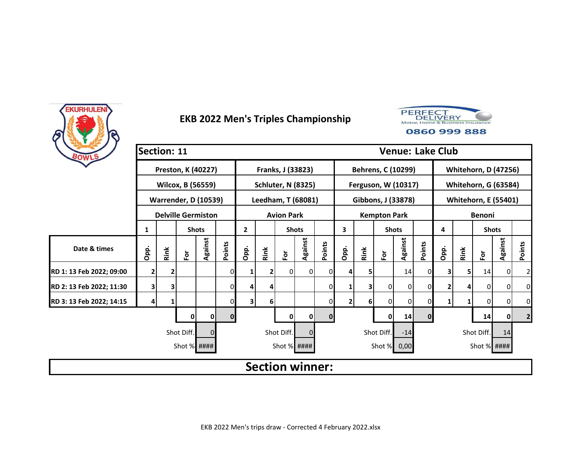



|                          | Section: 11    |      |             |                             |              |              |                |                           |              |          |              |      |                     |         |              | <b>Venue: Lake Club</b> |      |               |                             |                |
|--------------------------|----------------|------|-------------|-----------------------------|--------------|--------------|----------------|---------------------------|--------------|----------|--------------|------|---------------------|---------|--------------|-------------------------|------|---------------|-----------------------------|----------------|
| BOWLS                    |                |      |             |                             |              |              |                |                           |              |          |              |      |                     |         |              |                         |      |               |                             |                |
|                          |                |      |             | Preston, K (40227)          |              |              |                | Franks, J (33823)         |              |          |              |      | Behrens, C (10299)  |         |              |                         |      |               | <b>Whitehorn, D (47256)</b> |                |
|                          |                |      |             | Wilcox, B (56559)           |              |              |                | <b>Schluter, N (8325)</b> |              |          |              |      | Ferguson, W (10317) |         |              |                         |      |               | <b>Whitehorn, G (63584)</b> |                |
|                          |                |      |             | <b>Warrender, D (10539)</b> |              |              |                | Leedham, T (68081)        |              |          |              |      | Gibbons, J (33878)  |         |              |                         |      |               | <b>Whitehorn, E (55401)</b> |                |
|                          |                |      |             | <b>Delville Germiston</b>   |              |              |                | <b>Avion Park</b>         |              |          |              |      | <b>Kempton Park</b> |         |              |                         |      | <b>Benoni</b> |                             |                |
|                          | 1              |      |             | <b>Shots</b>                |              | $\mathbf{2}$ |                | <b>Shots</b>              |              |          | 3            |      | <b>Shots</b>        |         |              | 4                       |      | <b>Shots</b>  |                             |                |
| Date & times             | Opp.           | Rink | Ĕ           | Against                     | Points       | Opp.         | Rink           | $\bf \bar{e}$             | Against      | Points   | Opp.         | Rink | Εòτ                 | Against | Points       | Opp.                    | Rink | $\bf \bar{e}$ | Against                     | Points         |
| RD 1: 13 Feb 2022; 09:00 | $\overline{2}$ | 2    |             |                             | 0            | 1            | $\overline{2}$ | $\Omega$                  | $\Omega$     |          | 4            | 5    |                     | 14      | $\Omega$     | 3                       | 51   | 14            | $\overline{0}$              | $\overline{2}$ |
| RD 2: 13 Feb 2022; 11:30 | 3              | 3    |             |                             | 0            | 4            | 4              |                           |              | ΩI       |              | 3    | $\overline{0}$      | 0       | 0            |                         |      | 0             | 0                           | 0              |
| RD 3: 13 Feb 2022; 14:15 | 4              |      |             |                             | 01           | 31           | 6              |                           |              | 01       | $\mathbf{2}$ | 6    | $\Omega$            | 0       | 0            | 1                       |      | 0             | 0                           | 0              |
|                          |                |      | 0           | 0                           | $\mathbf{0}$ |              |                | 0                         | $\mathbf{0}$ | $\Omega$ |              |      | $\mathbf 0$         | 14      | $\mathbf{0}$ |                         |      | 14            | 0                           | 2 <sub>l</sub> |
|                          |                |      | Shot Diff.  |                             |              |              |                | Shot Diff.                | $\Omega$     |          |              |      | Shot Diff.          | $-14$   |              |                         |      | Shot Diff.    | 14                          |                |
|                          |                |      | Shot % #### |                             |              |              |                | Shot % ####               |              |          |              |      | Shot % 0,00         |         |              |                         |      | Shot $%$ #### |                             |                |
|                          |                |      |             |                             |              |              |                | <b>Section winner:</b>    |              |          |              |      |                     |         |              |                         |      |               |                             |                |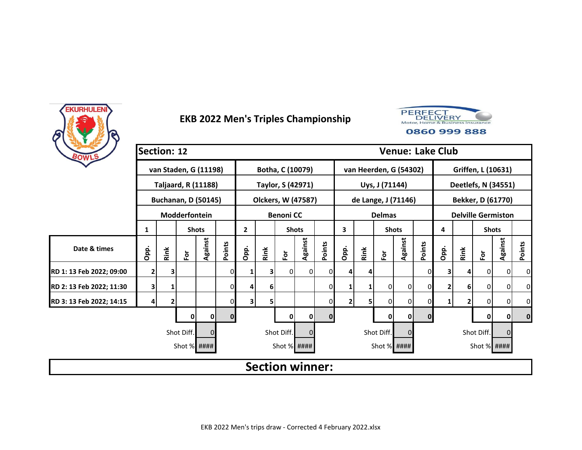



| BOWLS                    | Section: 12    |      |                            |              |        |                |      |                        |          |              |              |      |                      |                        | <b>Venue: Lake Club</b> |      |      |                           |                |                |
|--------------------------|----------------|------|----------------------------|--------------|--------|----------------|------|------------------------|----------|--------------|--------------|------|----------------------|------------------------|-------------------------|------|------|---------------------------|----------------|----------------|
|                          |                |      | van Staden, G (11198)      |              |        |                |      | Botha, C (10079)       |          |              |              |      |                      | van Heerden, G (54302) |                         |      |      | Griffen, L (10631)        |                |                |
|                          |                |      | <b>Taljaard, R (11188)</b> |              |        |                |      | Taylor, S (42971)      |          |              |              |      | Uys, J (71144)       |                        |                         |      |      | Deetlefs, N (34551)       |                |                |
|                          |                |      | <b>Buchanan, D (50145)</b> |              |        |                |      | Olckers, W (47587)     |          |              |              |      |                      | de Lange, J (71146)    |                         |      |      | Bekker, D (61770)         |                |                |
|                          |                |      | Modderfontein              |              |        |                |      | <b>Benoni CC</b>       |          |              |              |      | <b>Delmas</b>        |                        |                         |      |      | <b>Delville Germiston</b> |                |                |
|                          | 1              |      |                            | <b>Shots</b> |        | $\overline{2}$ |      | <b>Shots</b>           |          |              | 3            |      | <b>Shots</b>         |                        |                         | 4    |      | <b>Shots</b>              |                |                |
| Date & times             | Opp.           | Rink | $\mathbf{\tilde{e}}$       | Against      | Points | Opp.           | Rink | Ē٥                     | Against  | Points       | Opp.         | Rink | $\mathbf{\tilde{e}}$ | Against                | Points                  | Opp. | Rink | $\bf \tilde{e}$           | Against        | Points         |
| RD 1: 13 Feb 2022; 09:00 | $\overline{2}$ | 3    |                            |              | 0      | 1              | 3    | $\Omega$               | 0        | <sup>0</sup> |              | 4    |                      |                        | 0                       | 3    | 4    | 0 I                       | $\mathbf{0}$   | $\overline{0}$ |
| RD 2: 13 Feb 2022; 11:30 | 3              |      |                            |              | 0      | 4              | 6    |                        |          | $\Omega$     |              |      | 0                    | 0                      | $\Omega$                |      | 6    | 0                         | $\overline{0}$ | $\overline{0}$ |
| RD 3: 13 Feb 2022; 14:15 | 4              | 2    |                            |              | 0      | 3              | 5    |                        |          | 0            | $\mathbf{2}$ | 5    | 0                    | $\Omega$               | 0                       |      | 2    | $\overline{0}$            | 0              | $\Omega$       |
|                          |                |      | 0                          | O            | 0      |                |      | 0                      | 0        | $\mathbf{0}$ |              |      | 0                    | $\mathbf{0}$           | $\mathbf{0}$            |      |      | 0                         | $\mathbf{0}$   | $\mathbf 0$    |
|                          |                |      | Shot Diff.                 | $\Omega$     |        |                |      | Shot Diff.             | $\Omega$ |              |              |      | Shot Diff.           | 0                      |                         |      |      | Shot Diff.                |                |                |
|                          |                |      | Shot % ####                |              |        |                |      | Shot % ####            |          |              |              |      |                      | Shot % ####            |                         |      |      | Shot % ####               |                |                |
|                          |                |      |                            |              |        |                |      | <b>Section winner:</b> |          |              |              |      |                      |                        |                         |      |      |                           |                |                |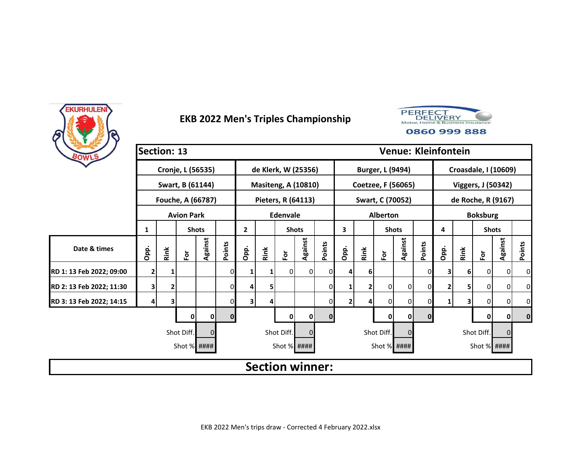



| BOWLS                    | Section: 13 |      |                   |              |        |              |      |                            |                |              |                |      |                  |                    | <b>Venue: Kleinfontein</b> |                             |      |                      |                |              |  |
|--------------------------|-------------|------|-------------------|--------------|--------|--------------|------|----------------------------|----------------|--------------|----------------|------|------------------|--------------------|----------------------------|-----------------------------|------|----------------------|----------------|--------------|--|
|                          |             |      | Cronje, L (56535) |              |        |              |      | de Klerk, W (25356)        |                |              |                |      | Burger, L (9494) |                    |                            | <b>Croasdale, I (10609)</b> |      |                      |                |              |  |
|                          |             |      | Swart, B (61144)  |              |        |              |      | <b>Masiteng, A (10810)</b> |                |              |                |      |                  | Coetzee, F (56065) |                            | Viggers, J (50342)          |      |                      |                |              |  |
|                          |             |      | Fouche, A (66787) |              |        |              |      | Pieters, R (64113)         |                |              |                |      | Swart, C (70052) |                    |                            |                             |      | de Roche, R (9167)   |                |              |  |
|                          |             |      | <b>Avion Park</b> |              |        |              |      | Edenvale                   |                |              |                |      | <b>Alberton</b>  |                    |                            | <b>Boksburg</b>             |      |                      |                |              |  |
|                          | 1           |      |                   | <b>Shots</b> |        | $\mathbf{2}$ |      | <b>Shots</b>               |                |              | 3              |      | <b>Shots</b>     |                    |                            | 4                           |      | <b>Shots</b>         |                |              |  |
| Date & times             | Opp.        | Rink | $\bf \bar{e}$     | Against      | Points | Opp.         | Rink | $\overline{P}$             | Against        | Points       | Opp.           | Rink | $\bf \bar{e}$    | Against            | Points                     | Opp.                        | Rink | $\mathbf{\tilde{e}}$ | Against        | Points       |  |
| RD 1: 13 Feb 2022; 09:00 | 2           |      |                   |              |        | 1            | 1    | 0                          | $\overline{0}$ | ΟI           |                | 6    |                  |                    | 0                          | 3                           | 61   | $\mathbf{0}$         | $\mathbf 0$    | 0            |  |
| RD 2: 13 Feb 2022; 11:30 | 3           | 2    |                   |              | 0      | 4            | 5    |                            |                | $\mathbf{0}$ |                | 2    | $\overline{0}$   | 0                  | 0                          | 2                           | 5    | $\overline{0}$       | $\mathbf 0$    | 0            |  |
| RD 3: 13 Feb 2022; 14:15 | 4           | з    |                   |              |        | 3            | 4    |                            |                | 01           | $\overline{2}$ |      | 0                | 0                  | 0                          | 1                           | 3    | $\overline{0}$       | $\overline{0}$ | 0            |  |
|                          |             |      | 0                 | 0            | 0      |              |      | 0                          | 0              | $\mathbf{0}$ |                |      | 0                | $\mathbf 0$        | $\mathbf 0$                |                             |      | 0                    | 0              | $\mathbf{0}$ |  |
|                          |             |      | Shot Diff.        | $\Omega$     |        |              |      | Shot Diff.                 | $\Omega$       |              |                |      | Shot Diff.       | 0                  |                            |                             |      | Shot Diff.           | $\Omega$       |              |  |
|                          |             |      | Shot % ####       |              |        |              |      | Shot % ####                |                |              |                |      | Shot % ####      |                    |                            |                             |      | Shot % ####          |                |              |  |
|                          |             |      |                   |              |        |              |      | <b>Section winner:</b>     |                |              |                |      |                  |                    |                            |                             |      |                      |                |              |  |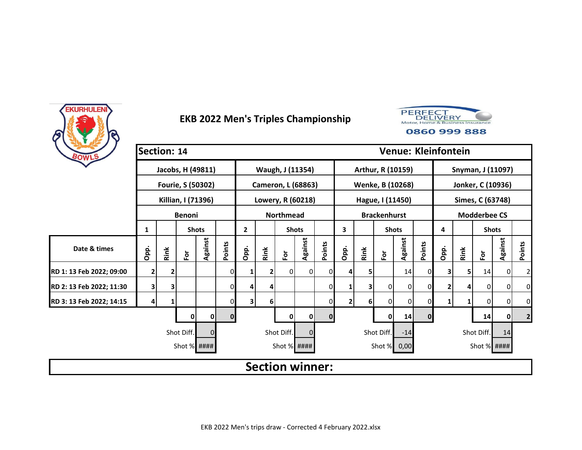



| BOWLS                    |              | Section: 14 |                      |                   |        |                              |              |                           |          |                   |      |      |                     |                   | <b>Venue: Kleinfontein</b> |                     |                  |               |                |                |
|--------------------------|--------------|-------------|----------------------|-------------------|--------|------------------------------|--------------|---------------------------|----------|-------------------|------|------|---------------------|-------------------|----------------------------|---------------------|------------------|---------------|----------------|----------------|
|                          |              |             |                      | Jacobs, H (49811) |        |                              |              | Waugh, J (11354)          |          |                   |      |      |                     | Arthur, R (10159) |                            | Snyman, J (11097)   |                  |               |                |                |
|                          |              |             |                      | Fourie, S (50302) |        |                              |              | <b>Cameron, L (68863)</b> |          |                   |      |      |                     | Wenke, B (10268)  |                            | Jonker, C (10936)   |                  |               |                |                |
|                          |              |             | Killian, I (71396)   |                   |        |                              |              | Lowery, R (60218)         |          |                   |      |      | Hague, I (11450)    |                   |                            |                     | Simes, C (63748) |               |                |                |
|                          |              |             | <b>Benoni</b>        |                   |        | <b>Northmead</b>             |              |                           |          |                   |      |      | <b>Brackenhurst</b> |                   |                            | <b>Modderbee CS</b> |                  |               |                |                |
|                          | 1            |             |                      | <b>Shots</b>      |        | $\mathbf{2}$<br><b>Shots</b> |              |                           |          | 3<br><b>Shots</b> |      |      |                     |                   | 4                          |                     | <b>Shots</b>     |               |                |                |
| Date & times             | Opp.         | Rink        | $\mathbf{\tilde{e}}$ | Against           | Points | Opp.                         | Rink         | $\bf \bar{e}$             | Against  | Points            | Opp. | Rink | $\bf \tilde{e}$     | Against           | Points                     | Opp.                | Rink             | $\bf \bar{e}$ | Against        | <b>Points</b>  |
| RD 1: 13 Feb 2022; 09:00 | $\mathbf{2}$ | 2           |                      |                   | 0      | 1                            | $\mathbf{2}$ | $\overline{0}$            | 0        |                   |      | 5.   |                     | 14                | 0                          | 3                   | 5                | 14            | $\overline{0}$ | $\overline{2}$ |
| RD 2: 13 Feb 2022; 11:30 | 3            | 3           |                      |                   | 0      | 4                            | 4            |                           |          | 01                |      | 3    | 0                   | 0                 | 0                          |                     | Δ                | 0             | $\overline{0}$ | 0              |
| RD 3: 13 Feb 2022; 14:15 | 4            |             |                      |                   |        | 3                            | $6 \mid$     |                           |          |                   | 2    | 6    | 0                   | $\overline{0}$    | 0                          |                     |                  | 0             | 0              | 0              |
|                          |              |             | 0                    | o                 | 0      |                              |              | 0                         | 0        | $\Omega$          |      |      | 0                   | 14                | $\mathbf{0}$               |                     |                  | 14            | 0              | $\mathbf{2}$   |
|                          |              |             | Shot Diff.           | $\Omega$          |        |                              |              | Shot Diff.                | $\Omega$ |                   |      |      | Shot Diff.          | $-14$             |                            |                     |                  | Shot Diff.    | 14             |                |
|                          |              |             | Shot % ####          |                   |        |                              |              | Shot % ####               |          |                   |      |      | Shot % 0,00         |                   |                            |                     |                  | Shot % ####   |                |                |
|                          |              |             |                      |                   |        |                              |              | <b>Section winner:</b>    |          |                   |      |      |                     |                   |                            |                     |                  |               |                |                |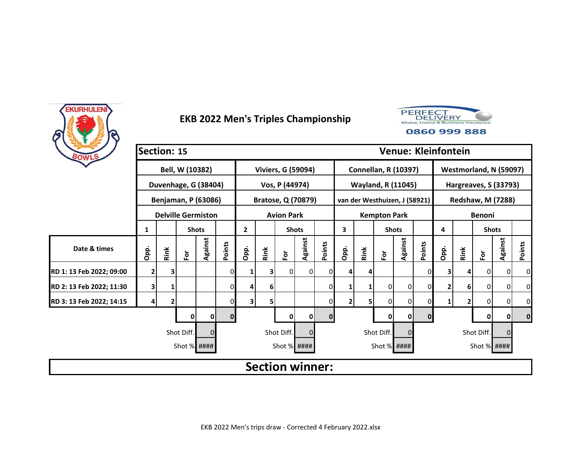



| BOWLS                    | Section: 15 |      |                            |              |          |              |      |                           |                |              |              |              |                     | <b>Venue: Kleinfontein</b>    |             |                          |              |                        |                |             |  |
|--------------------------|-------------|------|----------------------------|--------------|----------|--------------|------|---------------------------|----------------|--------------|--------------|--------------|---------------------|-------------------------------|-------------|--------------------------|--------------|------------------------|----------------|-------------|--|
|                          |             |      | Bell, W (10382)            |              |          |              |      | <b>Viviers, G (59094)</b> |                |              |              |              |                     | <b>Connellan, R (10397)</b>   |             |                          |              | Westmorland, N (59097) |                |             |  |
|                          |             |      | Duvenhage, G (38404)       |              |          |              |      | Vos, P (44974)            |                |              |              |              |                     | <b>Wayland, R (11045)</b>     |             | Hargreaves, S (33793)    |              |                        |                |             |  |
|                          |             |      | <b>Benjaman, P (63086)</b> |              |          |              |      | <b>Bratose, Q (70879)</b> |                |              |              |              |                     | van der Westhuizen, J (58921) |             | <b>Redshaw, M (7288)</b> |              |                        |                |             |  |
|                          |             |      | <b>Delville Germiston</b>  |              |          |              |      | <b>Avion Park</b>         |                |              |              |              | <b>Kempton Park</b> |                               |             | <b>Benoni</b>            |              |                        |                |             |  |
|                          | 1           |      |                            | <b>Shots</b> |          | $\mathbf{2}$ |      | <b>Shots</b>              |                | 3            |              | <b>Shots</b> |                     |                               | 4           |                          | <b>Shots</b> |                        |                |             |  |
| Date & times             | Opp.        | Rink | $\tilde{\mathbf{c}}$       | Against      | Points   | Opp.         | Rink | $\bf \bar{e}$             | Against        | Points       | Opp.         | Rink         | $\bf \bar{e}$       | Against                       | Points      | Opp.                     | Rink         | $\bf \bar{e}$          | Against        | Points      |  |
| RD 1: 13 Feb 2022; 09:00 | 2           | з    |                            |              |          | 1            | 31   | 0                         | $\overline{0}$ | ΟI           |              |              |                     |                               | 0           | 3                        | 4            | $\mathbf{0}$           | $\overline{0}$ | 0           |  |
| RD 2: 13 Feb 2022; 11:30 | 3           |      |                            |              | 0        | 4            | 6    |                           |                | $\Omega$     |              |              | 0                   | 0                             | 0           | 2                        | 6            | 0                      | $\overline{0}$ | 0           |  |
| RD 3: 13 Feb 2022; 14:15 | 4           | 2    |                            |              |          | 3            | 5    |                           |                | $\mathbf{0}$ | $\mathbf{2}$ |              | 0                   | 0                             | 0           | 1                        | $\mathbf{2}$ | $\overline{0}$         | 0              | 0           |  |
|                          |             |      | 0                          | 0            | $\bf{0}$ |              |      | 0                         | 0              | $\mathbf{0}$ |              |              | 0                   | $\mathbf 0$                   | $\mathbf 0$ |                          |              | 0                      | 0              | $\mathbf 0$ |  |
|                          |             |      | Shot Diff.                 | $\Omega$     |          |              |      | Shot Diff.                | $\Omega$       |              |              |              | Shot Diff.          | 0                             |             |                          |              | Shot Diff.             | $\Omega$       |             |  |
|                          |             |      | Shot % ####                |              |          |              |      | Shot % ####               |                |              |              |              | Shot % ####         |                               |             |                          |              | Shot % ####            |                |             |  |
|                          |             |      |                            |              |          |              |      | <b>Section winner:</b>    |                |              |              |              |                     |                               |             |                          |              |                        |                |             |  |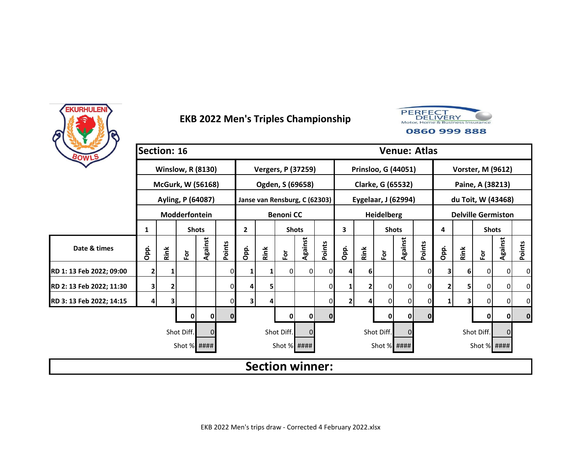



| BOWLS                    | Section: 16 |      |                          |                |          |              |              |                               |              | <b>Venue: Atlas</b> |      |                     |                   |         |             |                           |      |              |                          |                |  |  |
|--------------------------|-------------|------|--------------------------|----------------|----------|--------------|--------------|-------------------------------|--------------|---------------------|------|---------------------|-------------------|---------|-------------|---------------------------|------|--------------|--------------------------|----------------|--|--|
|                          |             |      | <b>Winslow, R (8130)</b> |                |          |              |              | <b>Vergers, P (37259)</b>     |              |                     |      | Prinsloo, G (44051) |                   |         |             |                           |      |              | <b>Vorster, M (9612)</b> |                |  |  |
|                          |             |      | <b>McGurk, W (56168)</b> |                |          |              |              | Ogden, S (69658)              |              |                     |      | Clarke, G (65532)   |                   |         |             | Paine, A (38213)          |      |              |                          |                |  |  |
|                          |             |      | Ayling, P (64087)        |                |          |              |              | Janse van Rensburg, C (62303) |              |                     |      | Eygelaar, J (62994) |                   |         |             |                           |      |              | du Toit, W (43468)       |                |  |  |
|                          |             |      | Modderfontein            |                |          |              |              | <b>Benoni CC</b>              |              |                     |      |                     | <b>Heidelberg</b> |         |             | <b>Delville Germiston</b> |      |              |                          |                |  |  |
|                          | 1           |      |                          | <b>Shots</b>   |          | $\mathbf{2}$ | <b>Shots</b> |                               |              |                     | 3    |                     | <b>Shots</b>      |         |             | 4                         |      | <b>Shots</b> |                          |                |  |  |
| Date & times             | Opp.        | Rink | $\bf \bar{e}$            | <b>Against</b> | Points   | Opp.         | Rink         | $\mathbf{\tilde{e}}$          | Against      | Points              | Opp. | Rink                | $\bf \bar{e}$     | Against | Points      | Opp.                      | Rink | è            | <b>Against</b>           | Points         |  |  |
| RD 1: 13 Feb 2022; 09:00 | 2           |      |                          |                |          |              | 1            | $\Omega$                      | 0I           | 0                   |      | 61                  |                   |         | 0           | 3                         | 6    | 0            | 0                        | 0              |  |  |
| RD 2: 13 Feb 2022; 11:30 | 3           | 2    |                          |                | 0        |              | 5            |                               |              | $\Omega$            |      |                     | $\Omega$          | 0       | 0           | $\mathbf{2}$              | 5    | 0            | $\mathbf{0}$             | $\overline{0}$ |  |  |
| RD 3: 13 Feb 2022; 14:15 | 4           | 3    |                          |                | 0        | 3            | 4            |                               |              | 0                   | 2    |                     | 0                 | 0       | 0           | 1                         | 3    | 0            | 0                        | 0              |  |  |
|                          |             |      | 0                        | $\mathbf{0}$   | $\bf{0}$ |              |              | 0                             | $\mathbf{0}$ | $\mathbf{0}$        |      |                     | $\mathbf{0}$      | 0       | $\mathbf 0$ |                           |      | 0            | 0                        | $\bf{0}$       |  |  |
|                          |             |      | Shot Diff.               | $\mathbf 0$    |          |              |              | Shot Diff.                    | 0            |                     |      |                     | Shot Diff.        |         |             |                           |      | Shot Diff.   | $\mathbf 0$              |                |  |  |
|                          |             |      | Shot % ####              |                |          |              |              | Shot % ####                   |              |                     |      |                     | Shot % ####       |         |             |                           |      | Shot % ####  |                          |                |  |  |
|                          |             |      |                          |                |          |              |              | <b>Section winner:</b>        |              |                     |      |                     |                   |         |             |                           |      |              |                          |                |  |  |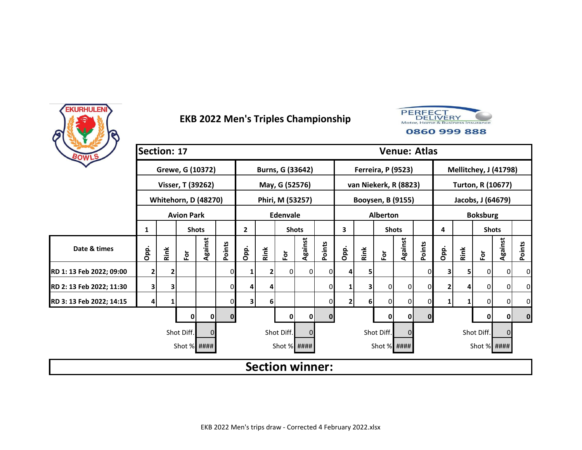



| BOWLS                    | Section: 17             |                                                                      |                             |              |              | <b>Venue: Atlas</b> |                 |                        |              |              |      |      |                           |                |             |                          |      |                      |         |                |  |
|--------------------------|-------------------------|----------------------------------------------------------------------|-----------------------------|--------------|--------------|---------------------|-----------------|------------------------|--------------|--------------|------|------|---------------------------|----------------|-------------|--------------------------|------|----------------------|---------|----------------|--|
|                          |                         |                                                                      | Grewe, G (10372)            |              |              |                     |                 | Burns, G (33642)       |              |              |      |      | <b>Ferreira, P (9523)</b> |                |             | Mellitchey, J (41798)    |      |                      |         |                |  |
|                          |                         |                                                                      | Visser, T (39262)           |              |              |                     |                 | May, G (52576)         |              |              |      |      | van Niekerk, R (8823)     |                |             | <b>Turton, R (10677)</b> |      |                      |         |                |  |
|                          |                         |                                                                      | <b>Whitehorn, D (48270)</b> |              |              |                     |                 | Phiri, M (53257)       |              |              |      |      | Booysen, B (9155)         |                |             | Jacobs, J (64679)        |      |                      |         |                |  |
|                          |                         |                                                                      | <b>Avion Park</b>           |              |              |                     | <b>Edenvale</b> |                        |              |              |      |      | <b>Alberton</b>           |                |             | <b>Boksburg</b>          |      |                      |         |                |  |
|                          | 1                       |                                                                      |                             | <b>Shots</b> |              | $\mathbf{2}$        | <b>Shots</b>    |                        |              |              | 3    |      |                           | <b>Shots</b>   |             | 4                        |      | <b>Shots</b>         |         |                |  |
| Date & times             |                         | Against<br>Points<br>Opp.<br>Opp.<br>Rink<br>$\overline{\mathsf{P}}$ |                             |              |              |                     | Rink            | $\bf \bar{e}$          | Against      | Points       | Opp. | Rink | $\mathbf{\tilde{e}}$      | Against        | Points      | Opp.                     | Rink | $\mathbf{\tilde{e}}$ | Against | Points         |  |
| RD 1: 13 Feb 2022; 09:00 | $\mathbf{2}$            | 2                                                                    |                             |              | 0            | 1                   | 2               | $\Omega$               | <sup>0</sup> | 01           |      | 5    |                           |                | 0           |                          | 5    | 0                    | 0       | 0              |  |
| RD 2: 13 Feb 2022; 11:30 | $\overline{\mathbf{3}}$ | 3                                                                    |                             |              | $\Omega$     | $\overline{4}$      | 4               |                        |              | 0            |      | 3    | 0                         | $\overline{0}$ | 0           |                          | Δ    | 0                    | 0       | $\overline{0}$ |  |
| RD 3: 13 Feb 2022; 14:15 | 4                       | 1                                                                    |                             |              | 0            | 3                   | 6               |                        |              | $\mathbf{0}$ | 2    | 6    | $\Omega$                  | 0              | 0           |                          |      | 0                    | 0       | 0              |  |
|                          |                         |                                                                      | 0                           | 0            | $\mathbf{0}$ |                     |                 | 0                      | 0            | $\bf{0}$     |      |      | 0                         | 0              | $\mathbf 0$ |                          |      | 0                    | 0       | $\bf{0}$       |  |
|                          |                         |                                                                      | Shot Diff.                  |              |              |                     |                 | Shot Diff.             |              |              |      |      | Shot Diff.                | 0              |             |                          |      | Shot Diff.           | 0       |                |  |
|                          |                         |                                                                      | Shot % ####                 |              |              |                     |                 | Shot % ####            |              |              |      |      | Shot % ####               |                |             |                          |      | Shot % ####          |         |                |  |
|                          |                         |                                                                      |                             |              |              |                     |                 | <b>Section winner:</b> |              |              |      |      |                           |                |             |                          |      |                      |         |                |  |